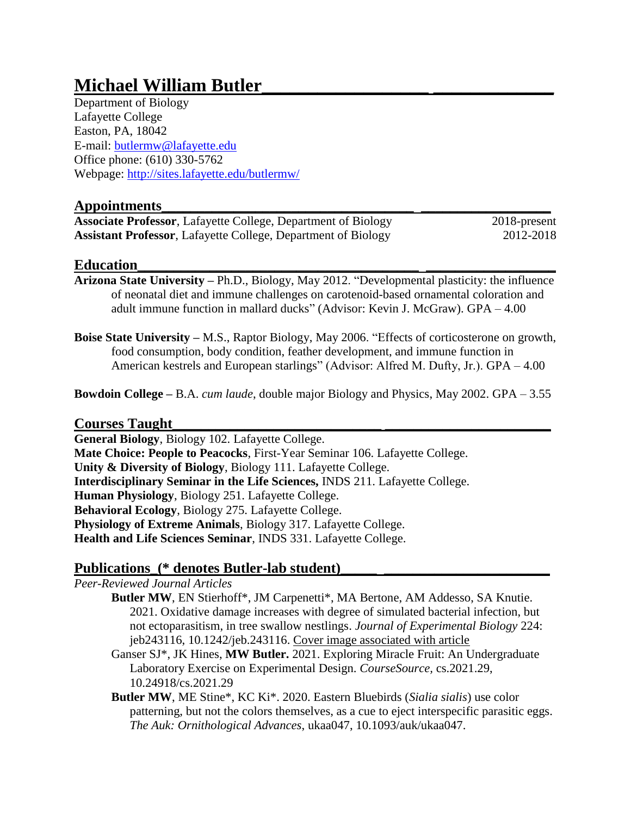# **Michael William Butler\_\_\_\_\_\_\_\_\_\_\_\_\_\_\_\_\_\_ \_\_\_\_\_\_\_\_\_\_\_\_\_**

Department of Biology Lafayette College Easton, PA, 18042 E-mail: [butlermw@lafayette.edu](mailto:butlermw@lafayette.edu) Office phone: (610) 330-5762 Webpage:<http://sites.lafayette.edu/butlermw/>

# **Appointments\_\_\_\_\_\_\_\_\_\_\_\_\_\_\_\_\_\_\_\_\_\_\_\_\_\_\_\_\_\_\_\_\_\_\_ \_\_\_\_\_\_\_\_\_\_\_\_\_\_\_\_\_\_**

**Associate Professor**, Lafayette College, Department of Biology 2018-present **Assistant Professor**, Lafayette College, Department of Biology 2012-2018

# **Education\_\_\_\_\_\_\_\_\_\_\_\_\_\_\_\_\_\_\_\_\_\_\_\_\_\_\_\_\_\_\_\_\_\_\_\_\_\_\_ \_\_\_\_\_\_\_\_\_\_\_\_\_\_\_\_\_\_**

- **Arizona State University –** Ph.D., Biology, May 2012. "Developmental plasticity: the influence of neonatal diet and immune challenges on carotenoid-based ornamental coloration and adult immune function in mallard ducks" (Advisor: Kevin J. McGraw). GPA – 4.00
- **Boise State University –** M.S., Raptor Biology, May 2006. "Effects of corticosterone on growth, food consumption, body condition, feather development, and immune function in American kestrels and European starlings" (Advisor: Alfred M. Dufty, Jr.). GPA – 4.00

**Bowdoin College –** B.A. *cum laude*, double major Biology and Physics, May 2002. GPA – 3.55

# **Courses Taught\_\_\_\_\_\_\_\_\_\_\_\_\_\_\_\_\_\_\_\_\_\_\_\_\_\_\_\_\_ \_\_\_\_\_\_\_\_\_\_\_\_\_\_\_\_\_\_\_\_\_\_\_**

**General Biology**, Biology 102. Lafayette College. **Mate Choice: People to Peacocks**, First-Year Seminar 106. Lafayette College. **Unity & Diversity of Biology**, Biology 111. Lafayette College. **Interdisciplinary Seminar in the Life Sciences,** INDS 211. Lafayette College. **Human Physiology**, Biology 251. Lafayette College. **Behavioral Ecology**, Biology 275. Lafayette College. **Physiology of Extreme Animals**, Biology 317. Lafayette College. **Health and Life Sciences Seminar**, INDS 331. Lafayette College.

# Publications\_(\* denotes Butler-lab student)\_

*Peer-Reviewed Journal Articles*

- **Butler MW**, EN Stierhoff\*, JM Carpenetti\*, MA Bertone, AM Addesso, SA Knutie. 2021. Oxidative damage increases with degree of simulated bacterial infection, but not ectoparasitism, in tree swallow nestlings. *Journal of Experimental Biology* 224: jeb243116, 10.1242/jeb.243116. Cover image associated with article
- Ganser SJ\*, JK Hines, **MW Butler.** 2021. Exploring Miracle Fruit: An Undergraduate Laboratory Exercise on Experimental Design. *CourseSource,* cs.2021.29, 10.24918/cs.2021.29
- **Butler MW**, ME Stine\*, KC Ki\*. 2020. Eastern Bluebirds (*Sialia sialis*) use color patterning, but not the colors themselves, as a cue to eject interspecific parasitic eggs. *The Auk: Ornithological Advances*, ukaa047, 10.1093/auk/ukaa047.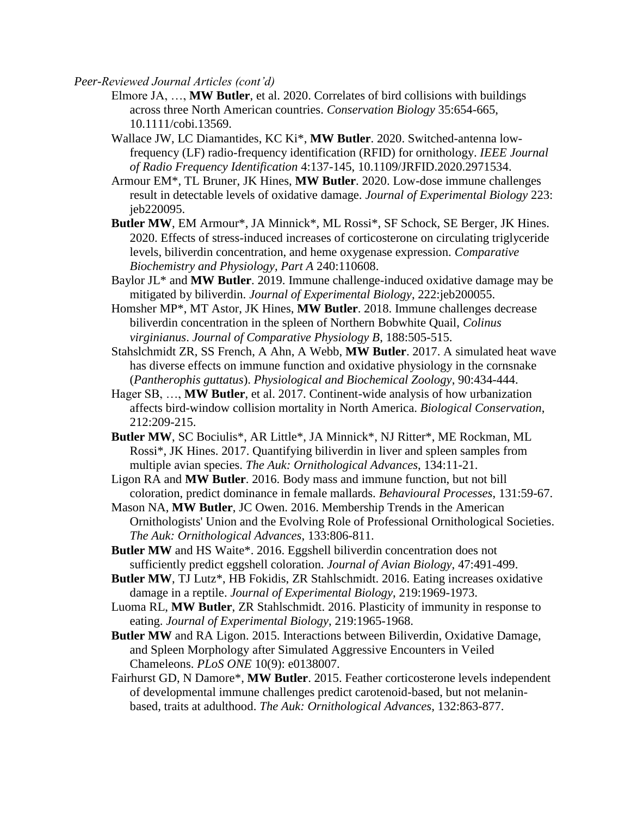- Elmore JA, …, **MW Butler**, et al. 2020. Correlates of bird collisions with buildings across three North American countries. *Conservation Biology* 35:654-665, 10.1111/cobi.13569.
- Wallace JW, LC Diamantides, KC Ki\*, **MW Butler**. 2020. Switched-antenna lowfrequency (LF) radio-frequency identification (RFID) for ornithology. *IEEE Journal of Radio Frequency Identification* 4:137-145, 10.1109/JRFID.2020.2971534.
- Armour EM\*, TL Bruner, JK Hines, **MW Butler**. 2020. Low-dose immune challenges result in detectable levels of oxidative damage. *Journal of Experimental Biology* 223: jeb220095.
- **Butler MW**, EM Armour\*, JA Minnick\*, ML Rossi\*, SF Schock, SE Berger, JK Hines. 2020. Effects of stress-induced increases of corticosterone on circulating triglyceride levels, biliverdin concentration, and heme oxygenase expression. *Comparative Biochemistry and Physiology, Part A* 240:110608.
- Baylor JL\* and **MW Butler**. 2019. Immune challenge-induced oxidative damage may be mitigated by biliverdin. *Journal of Experimental Biology*, 222:jeb200055.
- Homsher MP\*, MT Astor, JK Hines, **MW Butler**. 2018. Immune challenges decrease biliverdin concentration in the spleen of Northern Bobwhite Quail, *Colinus virginianus*. *Journal of Comparative Physiology B*, 188:505-515.
- Stahslchmidt ZR, SS French, A Ahn, A Webb, **MW Butler**. 2017. A simulated heat wave has diverse effects on immune function and oxidative physiology in the cornsnake (*Pantherophis guttatus*). *Physiological and Biochemical Zoology*, 90:434-444.
- Hager SB, …, **MW Butler**, et al. 2017. Continent-wide analysis of how urbanization affects bird-window collision mortality in North America. *Biological Conservation*, 212:209-215.
- **Butler MW**, SC Bociulis\*, AR Little\*, JA Minnick\*, NJ Ritter\*, ME Rockman, ML Rossi\*, JK Hines. 2017. Quantifying biliverdin in liver and spleen samples from multiple avian species. *The Auk: Ornithological Advances*, 134:11-21.
- Ligon RA and **MW Butler**. 2016. Body mass and immune function, but not bill coloration, predict dominance in female mallards. *Behavioural Processes*, 131:59-67.
- Mason NA, **MW Butler**, JC Owen. 2016. Membership Trends in the American Ornithologists' Union and the Evolving Role of Professional Ornithological Societies. *The Auk: Ornithological Advances*, 133:806-811.
- **Butler MW** and HS Waite\*. 2016. Eggshell biliverdin concentration does not sufficiently predict eggshell coloration. *Journal of Avian Biology*, 47:491-499.
- **Butler MW**, TJ Lutz\*, HB Fokidis, ZR Stahlschmidt. 2016. Eating increases oxidative damage in a reptile. *Journal of Experimental Biology*, 219:1969-1973.
- Luoma RL, **MW Butler**, ZR Stahlschmidt. 2016. Plasticity of immunity in response to eating. *Journal of Experimental Biology*, 219:1965-1968.
- **Butler MW** and RA Ligon. 2015. Interactions between Biliverdin, Oxidative Damage, and Spleen Morphology after Simulated Aggressive Encounters in Veiled Chameleons. *PLoS ONE* 10(9): e0138007.
- Fairhurst GD, N Damore\*, **MW Butler**. 2015. Feather corticosterone levels independent of developmental immune challenges predict carotenoid-based, but not melaninbased, traits at adulthood. *The Auk: Ornithological Advances*, 132:863-877.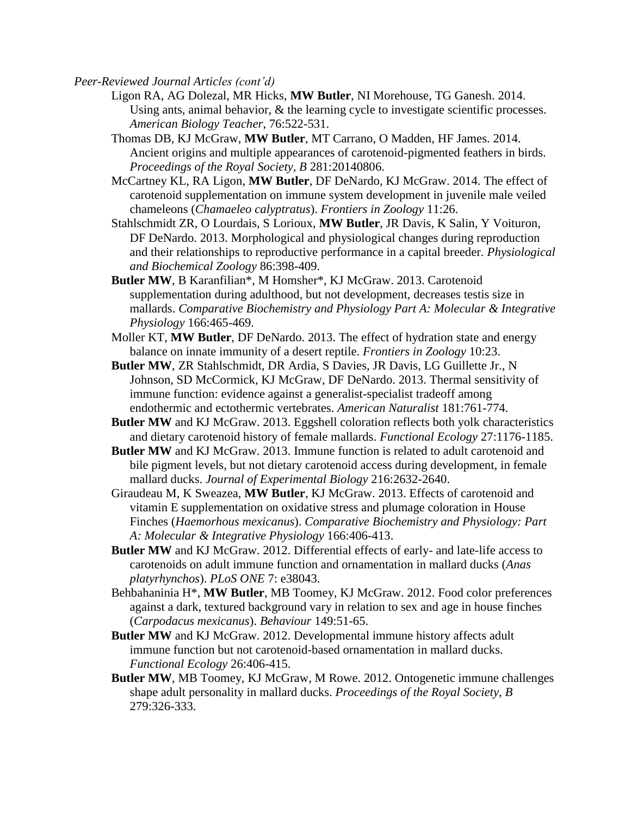- Ligon RA, AG Dolezal, MR Hicks, **MW Butler**, NI Morehouse, TG Ganesh. 2014. Using ants, animal behavior,  $\&$  the learning cycle to investigate scientific processes. *American Biology Teacher*, 76:522-531.
- Thomas DB, KJ McGraw, **MW Butler**, MT Carrano, O Madden, HF James. 2014. Ancient origins and multiple appearances of carotenoid-pigmented feathers in birds. *Proceedings of the Royal Society, B* 281:20140806.
- McCartney KL, RA Ligon, **MW Butler**, DF DeNardo, KJ McGraw. 2014. The effect of carotenoid supplementation on immune system development in juvenile male veiled chameleons (*Chamaeleo calyptratus*). *Frontiers in Zoology* 11:26.
- Stahlschmidt ZR, O Lourdais, S Lorioux, **MW Butler**, JR Davis, K Salin, Y Voituron, DF DeNardo. 2013. Morphological and physiological changes during reproduction and their relationships to reproductive performance in a capital breeder. *Physiological and Biochemical Zoology* 86:398-409.
- **Butler MW**, B Karanfilian\*, M Homsher\*, KJ McGraw. 2013. Carotenoid supplementation during adulthood, but not development, decreases testis size in mallards. *Comparative Biochemistry and Physiology Part A: Molecular & Integrative Physiology* 166:465-469.
- Moller KT, **MW Butler**, DF DeNardo. 2013. The effect of hydration state and energy balance on innate immunity of a desert reptile. *Frontiers in Zoology* 10:23.
- **Butler MW**, ZR Stahlschmidt, DR Ardia, S Davies, JR Davis, LG Guillette Jr., N Johnson, SD McCormick, KJ McGraw, DF DeNardo. 2013. Thermal sensitivity of immune function: evidence against a generalist-specialist tradeoff among endothermic and ectothermic vertebrates. *American Naturalist* 181:761-774.
- **Butler MW** and KJ McGraw. 2013. Eggshell coloration reflects both yolk characteristics and dietary carotenoid history of female mallards. *Functional Ecology* 27:1176-1185.
- **Butler MW** and KJ McGraw. 2013. Immune function is related to adult carotenoid and bile pigment levels, but not dietary carotenoid access during development, in female mallard ducks. *Journal of Experimental Biology* 216:2632-2640.
- Giraudeau M, K Sweazea, **MW Butler**, KJ McGraw. 2013. Effects of carotenoid and vitamin E supplementation on oxidative stress and plumage coloration in House Finches (*Haemorhous mexicanus*). *Comparative Biochemistry and Physiology: Part A: Molecular & Integrative Physiology* 166:406-413.
- **Butler MW** and KJ McGraw. 2012. Differential effects of early- and late-life access to carotenoids on adult immune function and ornamentation in mallard ducks (*Anas platyrhynchos*). *PLoS ONE* 7: e38043.
- Behbahaninia H\*, **MW Butler**, MB Toomey, KJ McGraw. 2012. Food color preferences against a dark, textured background vary in relation to sex and age in house finches (*Carpodacus mexicanus*). *Behaviour* 149:51-65.
- **Butler MW** and KJ McGraw. 2012. Developmental immune history affects adult immune function but not carotenoid-based ornamentation in mallard ducks. *Functional Ecology* 26:406-415.
- **Butler MW**, MB Toomey, KJ McGraw, M Rowe. 2012. Ontogenetic immune challenges shape adult personality in mallard ducks. *Proceedings of the Royal Society, B* 279:326-333.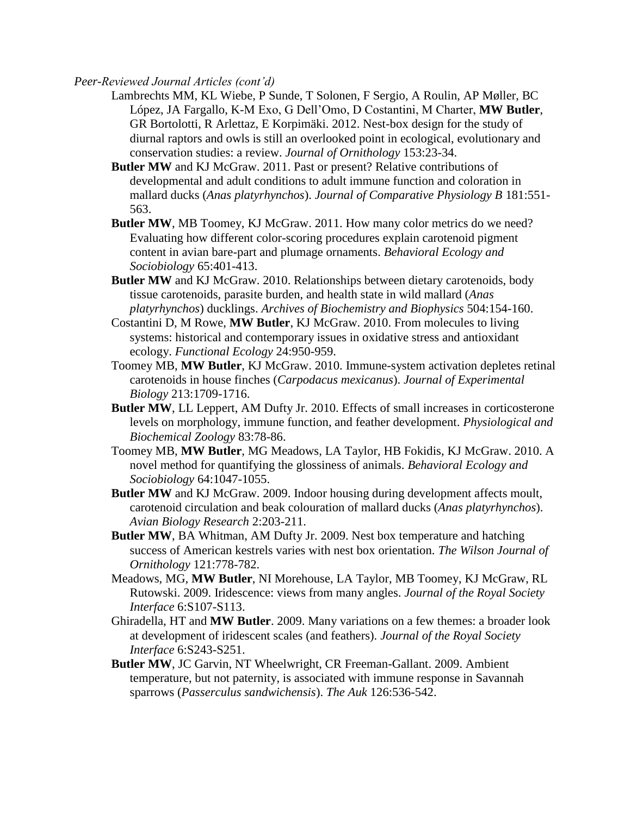- Lambrechts MM, KL Wiebe, P Sunde, T Solonen, F Sergio, A Roulin, AP Møller, BC López, JA Fargallo, K-M Exo, G Dell'Omo, D Costantini, M Charter, **MW Butler**, GR Bortolotti, R Arlettaz, E Korpimäki. 2012. Nest-box design for the study of diurnal raptors and owls is still an overlooked point in ecological, evolutionary and conservation studies: a review. *Journal of Ornithology* 153:23-34.
- **Butler MW** and KJ McGraw. 2011. Past or present? Relative contributions of developmental and adult conditions to adult immune function and coloration in mallard ducks (*Anas platyrhynchos*). *Journal of Comparative Physiology B* 181:551- 563.
- **Butler MW, MB** Toomey, KJ McGraw. 2011. How many color metrics do we need? Evaluating how different color-scoring procedures explain carotenoid pigment content in avian bare-part and plumage ornaments. *Behavioral Ecology and Sociobiology* 65:401-413.
- **Butler MW** and KJ McGraw. 2010. Relationships between dietary carotenoids, body tissue carotenoids, parasite burden, and health state in wild mallard (*Anas platyrhynchos*) ducklings. *Archives of Biochemistry and Biophysics* 504:154-160.
- Costantini D, M Rowe, **MW Butler**, KJ McGraw. 2010. From molecules to living systems: historical and contemporary issues in oxidative stress and antioxidant ecology. *Functional Ecology* 24:950-959.
- Toomey MB, **MW Butler**, KJ McGraw. 2010. Immune-system activation depletes retinal carotenoids in house finches (*Carpodacus mexicanus*). *Journal of Experimental Biology* 213:1709-1716.
- **Butler MW**, LL Leppert, AM Dufty Jr. 2010. Effects of small increases in corticosterone levels on morphology, immune function, and feather development. *Physiological and Biochemical Zoology* 83:78-86.
- Toomey MB, **MW Butler**, MG Meadows, LA Taylor, HB Fokidis, KJ McGraw. 2010. A novel method for quantifying the glossiness of animals. *Behavioral Ecology and Sociobiology* 64:1047-1055.
- **Butler MW** and KJ McGraw. 2009. Indoor housing during development affects moult, carotenoid circulation and beak colouration of mallard ducks (*Anas platyrhynchos*). *Avian Biology Research* 2:203-211.
- **Butler MW**, BA Whitman, AM Dufty Jr. 2009. Nest box temperature and hatching success of American kestrels varies with nest box orientation. *The Wilson Journal of Ornithology* 121:778-782.
- Meadows, MG, **MW Butler**, NI Morehouse, LA Taylor, MB Toomey, KJ McGraw, RL Rutowski. 2009. Iridescence: views from many angles. *Journal of the Royal Society Interface* 6:S107-S113.
- Ghiradella, HT and **MW Butler**. 2009. Many variations on a few themes: a broader look at development of iridescent scales (and feathers). *Journal of the Royal Society Interface* 6:S243-S251.
- **Butler MW**, JC Garvin, NT Wheelwright, CR Freeman-Gallant. 2009. Ambient temperature, but not paternity, is associated with immune response in Savannah sparrows (*Passerculus sandwichensis*). *The Auk* 126:536-542.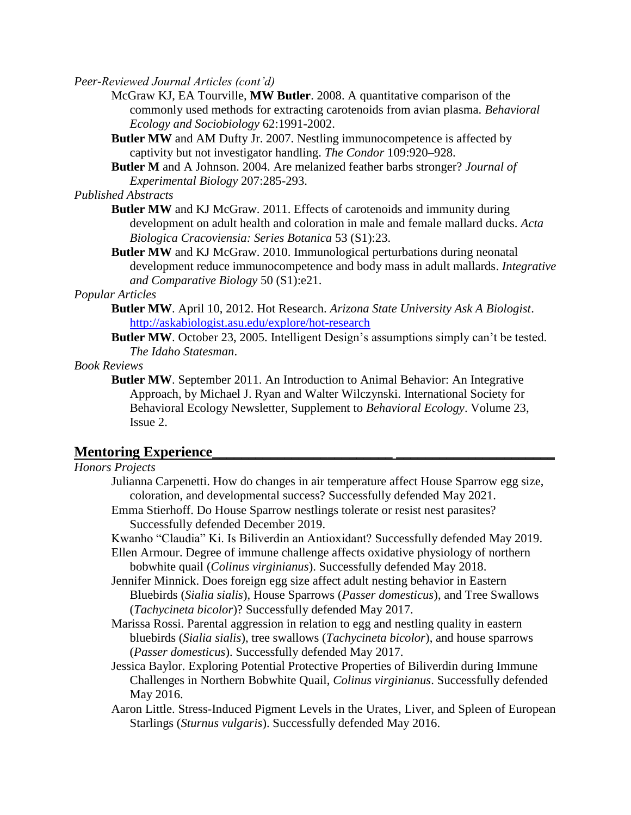McGraw KJ, EA Tourville, **MW Butler**. 2008. A quantitative comparison of the commonly used methods for extracting carotenoids from avian plasma. *Behavioral Ecology and Sociobiology* 62:1991-2002.

- **Butler MW** and AM Dufty Jr. 2007. Nestling immunocompetence is affected by captivity but not investigator handling. *The Condor* 109:920–928.
- **Butler M** and A Johnson. 2004. Are melanized feather barbs stronger? *Journal of Experimental Biology* 207:285-293.

*Published Abstracts*

- **Butler MW** and KJ McGraw. 2011. Effects of carotenoids and immunity during development on adult health and coloration in male and female mallard ducks. *Acta Biologica Cracoviensia: Series Botanica* 53 (S1):23.
- **Butler MW** and KJ McGraw. 2010. Immunological perturbations during neonatal development reduce immunocompetence and body mass in adult mallards. *Integrative and Comparative Biology* 50 (S1):e21.

# *Popular Articles*

- **Butler MW**. April 10, 2012. Hot Research. *Arizona State University Ask A Biologist*. <http://askabiologist.asu.edu/explore/hot-research>
- **Butler MW**. October 23, 2005. Intelligent Design's assumptions simply can't be tested. *The Idaho Statesman*.

*Book Reviews*

**Butler MW**. September 2011. An Introduction to Animal Behavior: An Integrative Approach, by Michael J. Ryan and Walter Wilczynski. International Society for Behavioral Ecology Newsletter, Supplement to *Behavioral Ecology*. Volume 23, Issue 2.

# **Mentoring Experience\_\_\_\_\_\_\_\_\_\_\_\_\_\_\_\_\_\_\_\_\_\_\_\_\_ \_\_\_\_\_\_\_\_\_\_\_\_\_\_\_\_\_\_\_\_\_\_**

# *Honors Projects*

- Julianna Carpenetti. How do changes in air temperature affect House Sparrow egg size, coloration, and developmental success? Successfully defended May 2021.
- Emma Stierhoff. Do House Sparrow nestlings tolerate or resist nest parasites? Successfully defended December 2019.
- Kwanho "Claudia" Ki. Is Biliverdin an Antioxidant? Successfully defended May 2019.

Ellen Armour. Degree of immune challenge affects oxidative physiology of northern bobwhite quail (*Colinus virginianus*). Successfully defended May 2018.

- Jennifer Minnick. Does foreign egg size affect adult nesting behavior in Eastern Bluebirds (*Sialia sialis*), House Sparrows (*Passer domesticus*), and Tree Swallows (*Tachycineta bicolor*)? Successfully defended May 2017.
- Marissa Rossi. Parental aggression in relation to egg and nestling quality in eastern bluebirds (*Sialia sialis*), tree swallows (*Tachycineta bicolor*), and house sparrows (*Passer domesticus*). Successfully defended May 2017.
- Jessica Baylor. Exploring Potential Protective Properties of Biliverdin during Immune Challenges in Northern Bobwhite Quail, *Colinus virginianus*. Successfully defended May 2016.
- Aaron Little. Stress-Induced Pigment Levels in the Urates, Liver, and Spleen of European Starlings (*Sturnus vulgaris*). Successfully defended May 2016.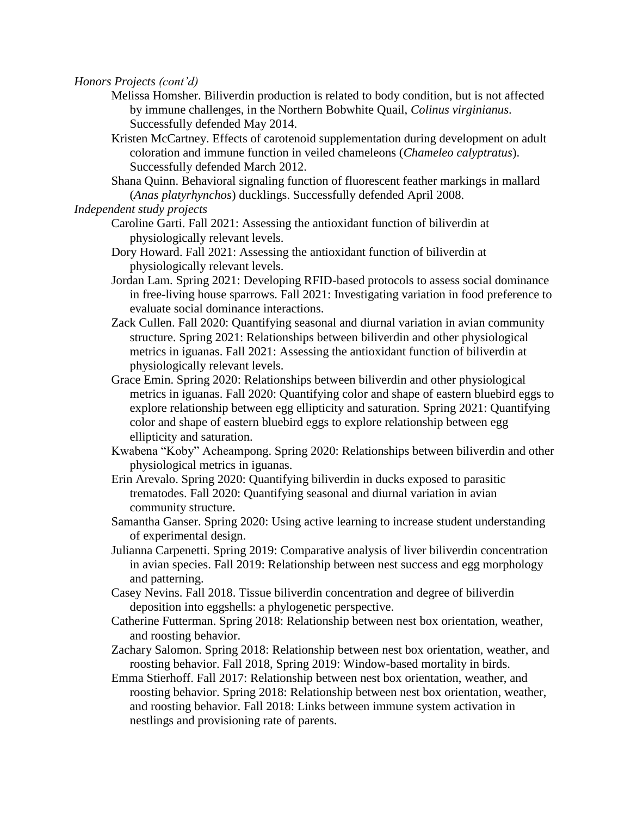*Honors Projects (cont'd)*

- Melissa Homsher. Biliverdin production is related to body condition, but is not affected by immune challenges, in the Northern Bobwhite Quail, *Colinus virginianus*. Successfully defended May 2014.
- Kristen McCartney. Effects of carotenoid supplementation during development on adult coloration and immune function in veiled chameleons (*Chameleo calyptratus*). Successfully defended March 2012.
- Shana Quinn. Behavioral signaling function of fluorescent feather markings in mallard (*Anas platyrhynchos*) ducklings. Successfully defended April 2008.

# *Independent study projects*

- Caroline Garti. Fall 2021: Assessing the antioxidant function of biliverdin at physiologically relevant levels.
- Dory Howard. Fall 2021: Assessing the antioxidant function of biliverdin at physiologically relevant levels.
- Jordan Lam. Spring 2021: Developing RFID-based protocols to assess social dominance in free-living house sparrows. Fall 2021: Investigating variation in food preference to evaluate social dominance interactions.
- Zack Cullen. Fall 2020: Quantifying seasonal and diurnal variation in avian community structure. Spring 2021: Relationships between biliverdin and other physiological metrics in iguanas. Fall 2021: Assessing the antioxidant function of biliverdin at physiologically relevant levels.
- Grace Emin. Spring 2020: Relationships between biliverdin and other physiological metrics in iguanas. Fall 2020: Quantifying color and shape of eastern bluebird eggs to explore relationship between egg ellipticity and saturation. Spring 2021: Quantifying color and shape of eastern bluebird eggs to explore relationship between egg ellipticity and saturation.
- Kwabena "Koby" Acheampong. Spring 2020: Relationships between biliverdin and other physiological metrics in iguanas.
- Erin Arevalo. Spring 2020: Quantifying biliverdin in ducks exposed to parasitic trematodes. Fall 2020: Quantifying seasonal and diurnal variation in avian community structure.
- Samantha Ganser. Spring 2020: Using active learning to increase student understanding of experimental design.
- Julianna Carpenetti. Spring 2019: Comparative analysis of liver biliverdin concentration in avian species. Fall 2019: Relationship between nest success and egg morphology and patterning.
- Casey Nevins. Fall 2018. Tissue biliverdin concentration and degree of biliverdin deposition into eggshells: a phylogenetic perspective.
- Catherine Futterman. Spring 2018: Relationship between nest box orientation, weather, and roosting behavior.
- Zachary Salomon. Spring 2018: Relationship between nest box orientation, weather, and roosting behavior. Fall 2018, Spring 2019: Window-based mortality in birds.
- Emma Stierhoff. Fall 2017: Relationship between nest box orientation, weather, and roosting behavior. Spring 2018: Relationship between nest box orientation, weather, and roosting behavior. Fall 2018: Links between immune system activation in nestlings and provisioning rate of parents.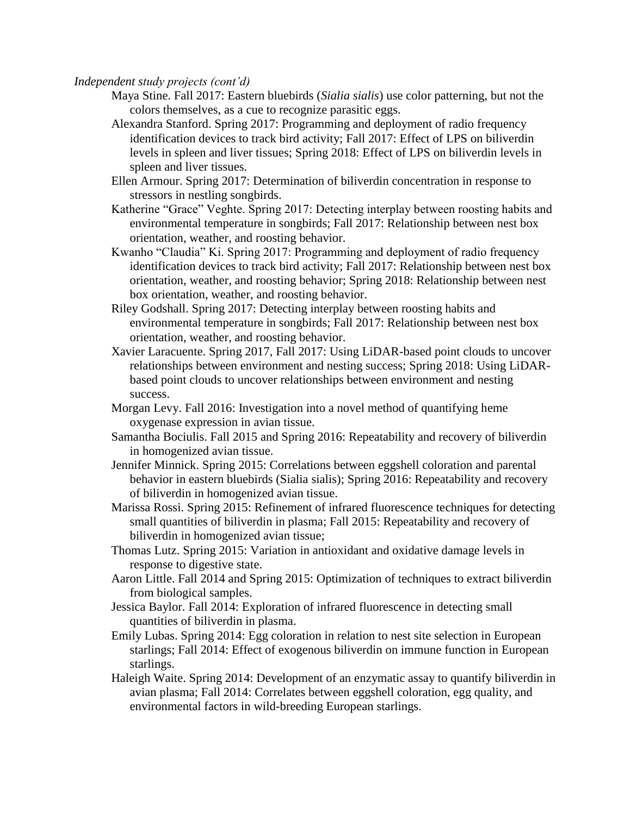*Independent study projects (cont'd)*

- Maya Stine. Fall 2017: Eastern bluebirds (*Sialia sialis*) use color patterning, but not the colors themselves, as a cue to recognize parasitic eggs.
- Alexandra Stanford. Spring 2017: Programming and deployment of radio frequency identification devices to track bird activity; Fall 2017: Effect of LPS on biliverdin levels in spleen and liver tissues; Spring 2018: Effect of LPS on biliverdin levels in spleen and liver tissues.
- Ellen Armour. Spring 2017: Determination of biliverdin concentration in response to stressors in nestling songbirds.
- Katherine "Grace" Veghte. Spring 2017: Detecting interplay between roosting habits and environmental temperature in songbirds; Fall 2017: Relationship between nest box orientation, weather, and roosting behavior.
- Kwanho "Claudia" Ki. Spring 2017: Programming and deployment of radio frequency identification devices to track bird activity; Fall 2017: Relationship between nest box orientation, weather, and roosting behavior; Spring 2018: Relationship between nest box orientation, weather, and roosting behavior.
- Riley Godshall. Spring 2017: Detecting interplay between roosting habits and environmental temperature in songbirds; Fall 2017: Relationship between nest box orientation, weather, and roosting behavior.
- Xavier Laracuente. Spring 2017, Fall 2017: Using LiDAR-based point clouds to uncover relationships between environment and nesting success; Spring 2018: Using LiDARbased point clouds to uncover relationships between environment and nesting success.
- Morgan Levy. Fall 2016: Investigation into a novel method of quantifying heme oxygenase expression in avian tissue.
- Samantha Bociulis. Fall 2015 and Spring 2016: Repeatability and recovery of biliverdin in homogenized avian tissue.
- Jennifer Minnick. Spring 2015: Correlations between eggshell coloration and parental behavior in eastern bluebirds (Sialia sialis); Spring 2016: Repeatability and recovery of biliverdin in homogenized avian tissue.
- Marissa Rossi. Spring 2015: Refinement of infrared fluorescence techniques for detecting small quantities of biliverdin in plasma; Fall 2015: Repeatability and recovery of biliverdin in homogenized avian tissue;
- Thomas Lutz. Spring 2015: Variation in antioxidant and oxidative damage levels in response to digestive state.
- Aaron Little. Fall 2014 and Spring 2015: Optimization of techniques to extract biliverdin from biological samples.
- Jessica Baylor. Fall 2014: Exploration of infrared fluorescence in detecting small quantities of biliverdin in plasma.
- Emily Lubas. Spring 2014: Egg coloration in relation to nest site selection in European starlings; Fall 2014: Effect of exogenous biliverdin on immune function in European starlings.
- Haleigh Waite. Spring 2014: Development of an enzymatic assay to quantify biliverdin in avian plasma; Fall 2014: Correlates between eggshell coloration, egg quality, and environmental factors in wild-breeding European starlings.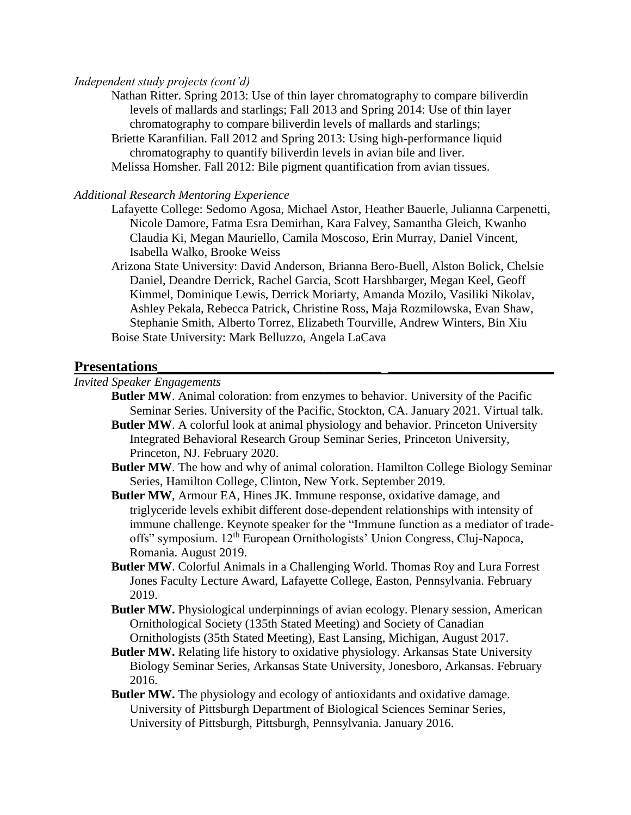#### *Independent study projects (cont'd)*

Nathan Ritter. Spring 2013: Use of thin layer chromatography to compare biliverdin levels of mallards and starlings; Fall 2013 and Spring 2014: Use of thin layer chromatography to compare biliverdin levels of mallards and starlings;

Briette Karanfilian. Fall 2012 and Spring 2013: Using high-performance liquid chromatography to quantify biliverdin levels in avian bile and liver.

Melissa Homsher. Fall 2012: Bile pigment quantification from avian tissues.

#### *Additional Research Mentoring Experience*

- Lafayette College: Sedomo Agosa, Michael Astor, Heather Bauerle, Julianna Carpenetti, Nicole Damore, Fatma Esra Demirhan, Kara Falvey, Samantha Gleich, Kwanho Claudia Ki, Megan Mauriello, Camila Moscoso, Erin Murray, Daniel Vincent, Isabella Walko, Brooke Weiss
- Arizona State University: David Anderson, Brianna Bero-Buell, Alston Bolick, Chelsie Daniel, Deandre Derrick, Rachel Garcia, Scott Harshbarger, Megan Keel, Geoff Kimmel, Dominique Lewis, Derrick Moriarty, Amanda Mozilo, Vasiliki Nikolav, Ashley Pekala, Rebecca Patrick, Christine Ross, Maja Rozmilowska, Evan Shaw, Stephanie Smith, Alberto Torrez, Elizabeth Tourville, Andrew Winters, Bin Xiu Boise State University: Mark Belluzzo, Angela LaCava

# **Presentations\_\_\_\_\_\_\_\_\_\_\_\_\_\_\_\_\_\_\_\_\_\_\_\_\_\_\_\_\_\_\_ \_\_\_\_\_\_\_\_\_\_\_\_\_\_\_\_\_\_\_\_\_\_\_**

## *Invited Speaker Engagements*

- **Butler MW**. Animal coloration: from enzymes to behavior. University of the Pacific Seminar Series. University of the Pacific, Stockton, CA. January 2021. Virtual talk.
- **Butler MW**. A colorful look at animal physiology and behavior. Princeton University Integrated Behavioral Research Group Seminar Series, Princeton University, Princeton, NJ. February 2020.
- **Butler MW**. The how and why of animal coloration. Hamilton College Biology Seminar Series, Hamilton College, Clinton, New York. September 2019.
- **Butler MW**, Armour EA, Hines JK. Immune response, oxidative damage, and triglyceride levels exhibit different dose-dependent relationships with intensity of immune challenge. Keynote speaker for the "Immune function as a mediator of tradeoffs" symposium. 12<sup>th</sup> European Ornithologists' Union Congress, Cluj-Napoca, Romania. August 2019.
- **Butler MW**. Colorful Animals in a Challenging World. Thomas Roy and Lura Forrest Jones Faculty Lecture Award, Lafayette College, Easton, Pennsylvania. February 2019.
- **Butler MW.** Physiological underpinnings of avian ecology. Plenary session, American Ornithological Society (135th Stated Meeting) and Society of Canadian Ornithologists (35th Stated Meeting), East Lansing, Michigan, August 2017.
- **Butler MW.** Relating life history to oxidative physiology. Arkansas State University Biology Seminar Series, Arkansas State University, Jonesboro, Arkansas. February 2016.
- **Butler MW.** The physiology and ecology of antioxidants and oxidative damage. University of Pittsburgh Department of Biological Sciences Seminar Series, University of Pittsburgh, Pittsburgh, Pennsylvania. January 2016.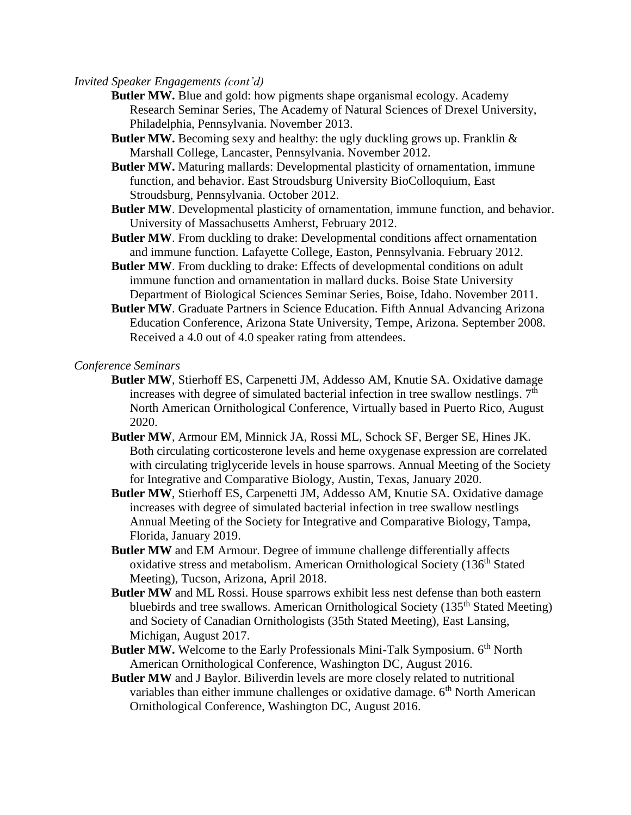*Invited Speaker Engagements (cont'd)*

- **Butler MW.** Blue and gold: how pigments shape organismal ecology. Academy Research Seminar Series, The Academy of Natural Sciences of Drexel University, Philadelphia, Pennsylvania. November 2013.
- **Butler MW.** Becoming sexy and healthy: the ugly duckling grows up. Franklin & Marshall College, Lancaster, Pennsylvania. November 2012.
- **Butler MW.** Maturing mallards: Developmental plasticity of ornamentation, immune function, and behavior. East Stroudsburg University BioColloquium, East Stroudsburg, Pennsylvania. October 2012.
- **Butler MW**. Developmental plasticity of ornamentation, immune function, and behavior. University of Massachusetts Amherst, February 2012.
- **Butler MW**. From duckling to drake: Developmental conditions affect ornamentation and immune function. Lafayette College, Easton, Pennsylvania. February 2012.
- **Butler MW**. From duckling to drake: Effects of developmental conditions on adult immune function and ornamentation in mallard ducks. Boise State University Department of Biological Sciences Seminar Series, Boise, Idaho. November 2011.
- **Butler MW**. Graduate Partners in Science Education. Fifth Annual Advancing Arizona Education Conference, Arizona State University, Tempe, Arizona. September 2008. Received a 4.0 out of 4.0 speaker rating from attendees.

*Conference Seminars*

- **Butler MW**, Stierhoff ES, Carpenetti JM, Addesso AM, Knutie SA. Oxidative damage increases with degree of simulated bacterial infection in tree swallow nestlings.  $7<sup>th</sup>$ North American Ornithological Conference, Virtually based in Puerto Rico, August 2020.
- **Butler MW**, Armour EM, Minnick JA, Rossi ML, Schock SF, Berger SE, Hines JK. Both circulating corticosterone levels and heme oxygenase expression are correlated with circulating triglyceride levels in house sparrows. Annual Meeting of the Society for Integrative and Comparative Biology, Austin, Texas, January 2020.
- **Butler MW**, Stierhoff ES, Carpenetti JM, Addesso AM, Knutie SA. Oxidative damage increases with degree of simulated bacterial infection in tree swallow nestlings Annual Meeting of the Society for Integrative and Comparative Biology, Tampa, Florida, January 2019.
- **Butler MW** and EM Armour. Degree of immune challenge differentially affects oxidative stress and metabolism. American Ornithological Society (136<sup>th</sup> Stated Meeting), Tucson, Arizona, April 2018.
- **Butler MW** and ML Rossi. House sparrows exhibit less nest defense than both eastern bluebirds and tree swallows. American Ornithological Society  $(135<sup>th</sup> Stated Meeting)$ and Society of Canadian Ornithologists (35th Stated Meeting), East Lansing, Michigan, August 2017.
- **Butler MW.** Welcome to the Early Professionals Mini-Talk Symposium. 6<sup>th</sup> North American Ornithological Conference, Washington DC, August 2016.
- **Butler MW** and J Baylor. Biliverdin levels are more closely related to nutritional variables than either immune challenges or oxidative damage.  $6<sup>th</sup>$  North American Ornithological Conference, Washington DC, August 2016.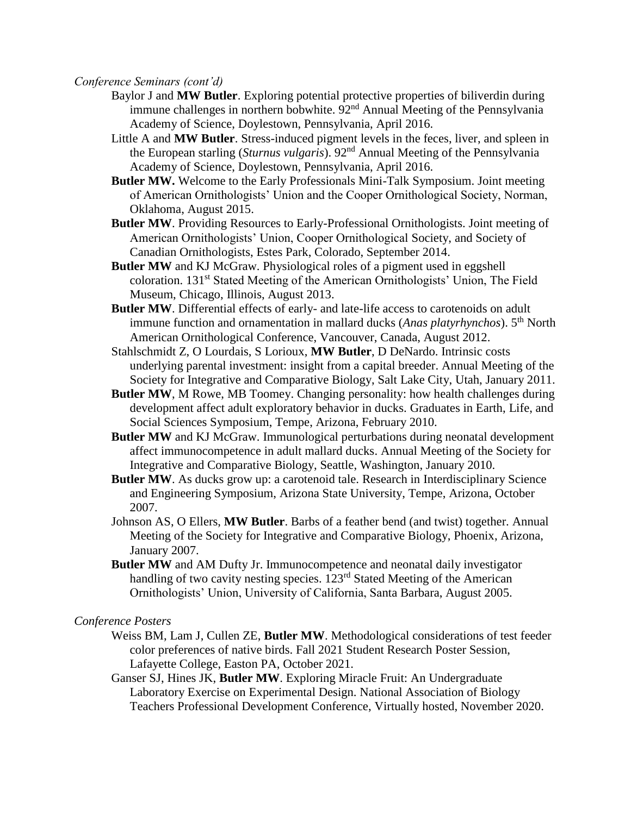#### *Conference Seminars (cont'd)*

- Baylor J and **MW Butler**. Exploring potential protective properties of biliverdin during immune challenges in northern bobwhite.  $92<sup>nd</sup>$  Annual Meeting of the Pennsylvania Academy of Science, Doylestown, Pennsylvania, April 2016.
- Little A and **MW Butler**. Stress-induced pigment levels in the feces, liver, and spleen in the European starling (*Sturnus vulgaris*). 92nd Annual Meeting of the Pennsylvania Academy of Science, Doylestown, Pennsylvania, April 2016.
- **Butler MW.** Welcome to the Early Professionals Mini-Talk Symposium. Joint meeting of American Ornithologists' Union and the Cooper Ornithological Society, Norman, Oklahoma, August 2015.
- **Butler MW**. Providing Resources to Early-Professional Ornithologists. Joint meeting of American Ornithologists' Union, Cooper Ornithological Society, and Society of Canadian Ornithologists, Estes Park, Colorado, September 2014.
- **Butler MW** and KJ McGraw. Physiological roles of a pigment used in eggshell coloration. 131st Stated Meeting of the American Ornithologists' Union, The Field Museum, Chicago, Illinois, August 2013.
- **Butler MW**. Differential effects of early- and late-life access to carotenoids on adult immune function and ornamentation in mallard ducks (*Anas platyrhynchos*). 5<sup>th</sup> North American Ornithological Conference, Vancouver, Canada, August 2012.
- Stahlschmidt Z, O Lourdais, S Lorioux, **MW Butler**, D DeNardo. Intrinsic costs underlying parental investment: insight from a capital breeder. Annual Meeting of the Society for Integrative and Comparative Biology, Salt Lake City, Utah, January 2011.
- **Butler MW**, M Rowe, MB Toomey. Changing personality: how health challenges during development affect adult exploratory behavior in ducks. Graduates in Earth, Life, and Social Sciences Symposium, Tempe, Arizona, February 2010.
- **Butler MW** and KJ McGraw. Immunological perturbations during neonatal development affect immunocompetence in adult mallard ducks. Annual Meeting of the Society for Integrative and Comparative Biology, Seattle, Washington, January 2010.
- **Butler MW**. As ducks grow up: a carotenoid tale. Research in Interdisciplinary Science and Engineering Symposium, Arizona State University, Tempe, Arizona, October 2007.
- Johnson AS, O Ellers, **MW Butler**. Barbs of a feather bend (and twist) together. Annual Meeting of the Society for Integrative and Comparative Biology, Phoenix, Arizona, January 2007.
- **Butler MW** and AM Dufty Jr. Immunocompetence and neonatal daily investigator handling of two cavity nesting species. 123<sup>rd</sup> Stated Meeting of the American Ornithologists' Union, University of California, Santa Barbara, August 2005.

*Conference Posters*

- Weiss BM, Lam J, Cullen ZE, **Butler MW**. Methodological considerations of test feeder color preferences of native birds. Fall 2021 Student Research Poster Session, Lafayette College, Easton PA, October 2021.
- Ganser SJ, Hines JK, **Butler MW**. Exploring Miracle Fruit: An Undergraduate Laboratory Exercise on Experimental Design. National Association of Biology Teachers Professional Development Conference, Virtually hosted, November 2020.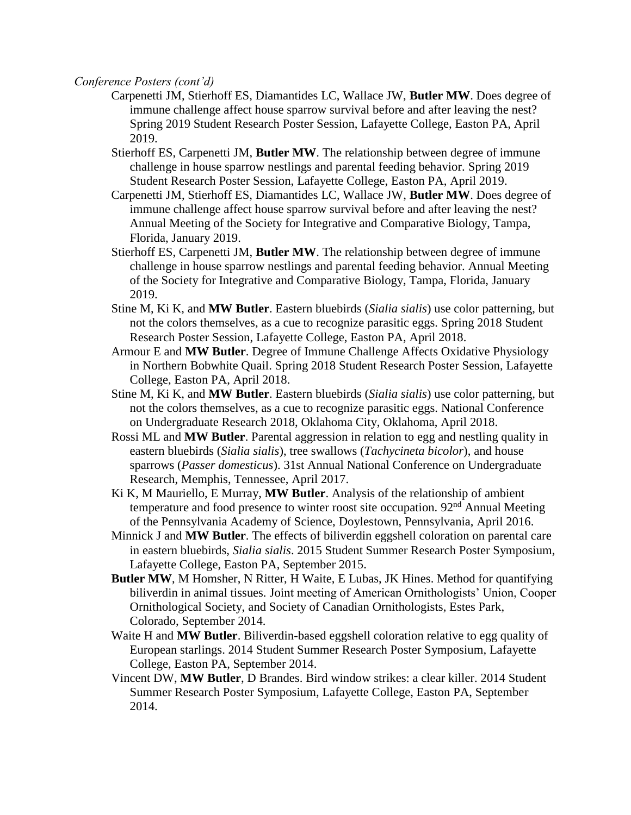*Conference Posters (cont'd)*

- Carpenetti JM, Stierhoff ES, Diamantides LC, Wallace JW, **Butler MW**. Does degree of immune challenge affect house sparrow survival before and after leaving the nest? Spring 2019 Student Research Poster Session, Lafayette College, Easton PA, April 2019.
- Stierhoff ES, Carpenetti JM, **Butler MW**. The relationship between degree of immune challenge in house sparrow nestlings and parental feeding behavior. Spring 2019 Student Research Poster Session, Lafayette College, Easton PA, April 2019.
- Carpenetti JM, Stierhoff ES, Diamantides LC, Wallace JW, **Butler MW**. Does degree of immune challenge affect house sparrow survival before and after leaving the nest? Annual Meeting of the Society for Integrative and Comparative Biology, Tampa, Florida, January 2019.
- Stierhoff ES, Carpenetti JM, **Butler MW**. The relationship between degree of immune challenge in house sparrow nestlings and parental feeding behavior. Annual Meeting of the Society for Integrative and Comparative Biology, Tampa, Florida, January 2019.
- Stine M, Ki K, and **MW Butler**. Eastern bluebirds (*Sialia sialis*) use color patterning, but not the colors themselves, as a cue to recognize parasitic eggs. Spring 2018 Student Research Poster Session, Lafayette College, Easton PA, April 2018.
- Armour E and **MW Butler**. Degree of Immune Challenge Affects Oxidative Physiology in Northern Bobwhite Quail. Spring 2018 Student Research Poster Session, Lafayette College, Easton PA, April 2018.
- Stine M, Ki K, and **MW Butler**. Eastern bluebirds (*Sialia sialis*) use color patterning, but not the colors themselves, as a cue to recognize parasitic eggs. National Conference on Undergraduate Research 2018, Oklahoma City, Oklahoma, April 2018.
- Rossi ML and **MW Butler**. Parental aggression in relation to egg and nestling quality in eastern bluebirds (*Sialia sialis*), tree swallows (*Tachycineta bicolor*), and house sparrows (*Passer domesticus*). 31st Annual National Conference on Undergraduate Research, Memphis, Tennessee, April 2017.
- Ki K, M Mauriello, E Murray, **MW Butler**. Analysis of the relationship of ambient temperature and food presence to winter roost site occupation.  $92<sup>nd</sup>$  Annual Meeting of the Pennsylvania Academy of Science, Doylestown, Pennsylvania, April 2016.
- Minnick J and **MW Butler**. The effects of biliverdin eggshell coloration on parental care in eastern bluebirds, *Sialia sialis*. 2015 Student Summer Research Poster Symposium, Lafayette College, Easton PA, September 2015.
- **Butler MW**, M Homsher, N Ritter, H Waite, E Lubas, JK Hines. Method for quantifying biliverdin in animal tissues. Joint meeting of American Ornithologists' Union, Cooper Ornithological Society, and Society of Canadian Ornithologists, Estes Park, Colorado, September 2014.
- Waite H and **MW Butler**. Biliverdin-based eggshell coloration relative to egg quality of European starlings. 2014 Student Summer Research Poster Symposium, Lafayette College, Easton PA, September 2014.
- Vincent DW, **MW Butler**, D Brandes. Bird window strikes: a clear killer. 2014 Student Summer Research Poster Symposium, Lafayette College, Easton PA, September 2014.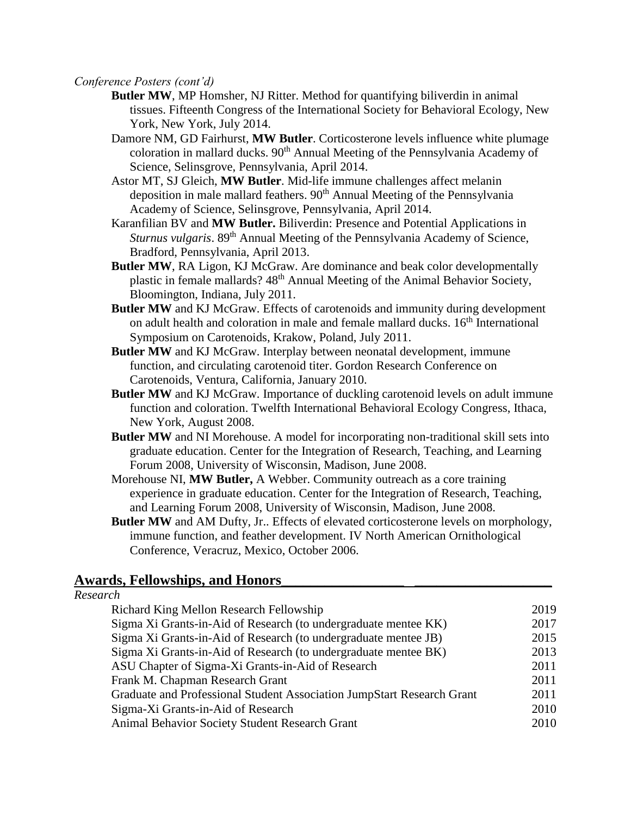## *Conference Posters (cont'd)*

- **Butler MW**, MP Homsher, NJ Ritter. Method for quantifying biliverdin in animal tissues. Fifteenth Congress of the International Society for Behavioral Ecology, New York, New York, July 2014.
- Damore NM, GD Fairhurst, **MW Butler**. Corticosterone levels influence white plumage coloration in mallard ducks. 90<sup>th</sup> Annual Meeting of the Pennsylvania Academy of Science, Selinsgrove, Pennsylvania, April 2014.
- Astor MT, SJ Gleich, **MW Butler**. Mid-life immune challenges affect melanin deposition in male mallard feathers. 90<sup>th</sup> Annual Meeting of the Pennsylvania Academy of Science, Selinsgrove, Pennsylvania, April 2014.
- Karanfilian BV and **MW Butler.** Biliverdin: Presence and Potential Applications in *Sturnus vulgaris*. 89<sup>th</sup> Annual Meeting of the Pennsylvania Academy of Science, Bradford, Pennsylvania, April 2013.
- **Butler MW**, RA Ligon, KJ McGraw. Are dominance and beak color developmentally plastic in female mallards? 48<sup>th</sup> Annual Meeting of the Animal Behavior Society, Bloomington, Indiana, July 2011.
- **Butler MW** and KJ McGraw. Effects of carotenoids and immunity during development on adult health and coloration in male and female mallard ducks. 16<sup>th</sup> International Symposium on Carotenoids, Krakow, Poland, July 2011.
- **Butler MW** and KJ McGraw. Interplay between neonatal development, immune function, and circulating carotenoid titer. Gordon Research Conference on Carotenoids, Ventura, California, January 2010.
- **Butler MW** and KJ McGraw. Importance of duckling carotenoid levels on adult immune function and coloration. Twelfth International Behavioral Ecology Congress, Ithaca, New York, August 2008.
- **Butler MW** and NI Morehouse. A model for incorporating non-traditional skill sets into graduate education. Center for the Integration of Research, Teaching, and Learning Forum 2008, University of Wisconsin, Madison, June 2008.
- Morehouse NI, **MW Butler,** A Webber. Community outreach as a core training experience in graduate education. Center for the Integration of Research, Teaching, and Learning Forum 2008, University of Wisconsin, Madison, June 2008.
- **Butler MW** and AM Dufty, Jr.. Effects of elevated corticosterone levels on morphology, immune function, and feather development. IV North American Ornithological Conference, Veracruz, Mexico, October 2006.

# **Awards, Fellowships, and Honors\_\_\_\_\_\_\_\_\_\_\_\_\_\_\_\_\_ \_\_\_\_\_\_\_\_\_\_\_\_\_\_\_\_\_\_\_**

| Research                                                               |      |
|------------------------------------------------------------------------|------|
| Richard King Mellon Research Fellowship                                | 2019 |
| Sigma Xi Grants-in-Aid of Research (to undergraduate mentee KK)        | 2017 |
| Sigma Xi Grants-in-Aid of Research (to undergraduate mentee JB)        | 2015 |
| Sigma Xi Grants-in-Aid of Research (to undergraduate mentee BK)        | 2013 |
| ASU Chapter of Sigma-Xi Grants-in-Aid of Research                      | 2011 |
| Frank M. Chapman Research Grant                                        | 2011 |
| Graduate and Professional Student Association JumpStart Research Grant | 2011 |
| Sigma-Xi Grants-in-Aid of Research                                     | 2010 |
| Animal Behavior Society Student Research Grant                         | 2010 |
|                                                                        |      |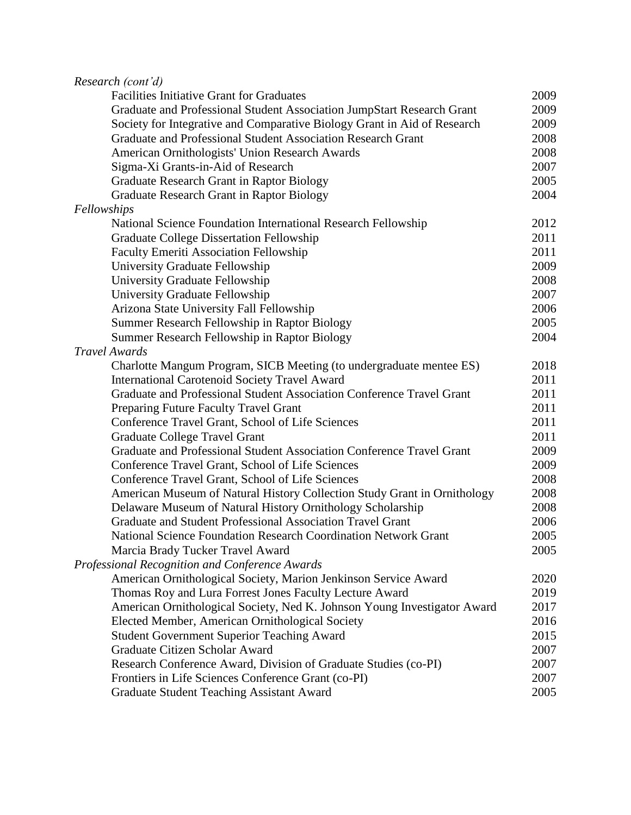| Research (cont'd)                                                        |      |
|--------------------------------------------------------------------------|------|
| <b>Facilities Initiative Grant for Graduates</b>                         | 2009 |
| Graduate and Professional Student Association JumpStart Research Grant   | 2009 |
| Society for Integrative and Comparative Biology Grant in Aid of Research | 2009 |
| Graduate and Professional Student Association Research Grant             | 2008 |
| American Ornithologists' Union Research Awards                           | 2008 |
| Sigma-Xi Grants-in-Aid of Research                                       | 2007 |
| Graduate Research Grant in Raptor Biology                                | 2005 |
| Graduate Research Grant in Raptor Biology                                | 2004 |
| Fellowships                                                              |      |
| National Science Foundation International Research Fellowship            | 2012 |
| <b>Graduate College Dissertation Fellowship</b>                          | 2011 |
| <b>Faculty Emeriti Association Fellowship</b>                            | 2011 |
| University Graduate Fellowship                                           | 2009 |
| University Graduate Fellowship                                           | 2008 |
| University Graduate Fellowship                                           | 2007 |
| Arizona State University Fall Fellowship                                 | 2006 |
| Summer Research Fellowship in Raptor Biology                             | 2005 |
| Summer Research Fellowship in Raptor Biology                             | 2004 |
| <b>Travel Awards</b>                                                     |      |
| Charlotte Mangum Program, SICB Meeting (to undergraduate mentee ES)      | 2018 |
| <b>International Carotenoid Society Travel Award</b>                     | 2011 |
| Graduate and Professional Student Association Conference Travel Grant    | 2011 |
| Preparing Future Faculty Travel Grant                                    | 2011 |
| Conference Travel Grant, School of Life Sciences                         | 2011 |
| Graduate College Travel Grant                                            | 2011 |
| Graduate and Professional Student Association Conference Travel Grant    | 2009 |
| Conference Travel Grant, School of Life Sciences                         | 2009 |
| Conference Travel Grant, School of Life Sciences                         | 2008 |
| American Museum of Natural History Collection Study Grant in Ornithology | 2008 |
| Delaware Museum of Natural History Ornithology Scholarship               | 2008 |
| Graduate and Student Professional Association Travel Grant               | 2006 |
| <b>National Science Foundation Research Coordination Network Grant</b>   | 2005 |
| Marcia Brady Tucker Travel Award                                         | 2005 |
| Professional Recognition and Conference Awards                           |      |
| American Ornithological Society, Marion Jenkinson Service Award          | 2020 |
| Thomas Roy and Lura Forrest Jones Faculty Lecture Award                  | 2019 |
| American Ornithological Society, Ned K. Johnson Young Investigator Award | 2017 |
| Elected Member, American Ornithological Society                          | 2016 |
| <b>Student Government Superior Teaching Award</b>                        | 2015 |
| Graduate Citizen Scholar Award                                           | 2007 |
| Research Conference Award, Division of Graduate Studies (co-PI)          | 2007 |
| Frontiers in Life Sciences Conference Grant (co-PI)                      | 2007 |
|                                                                          | 2005 |
| <b>Graduate Student Teaching Assistant Award</b>                         |      |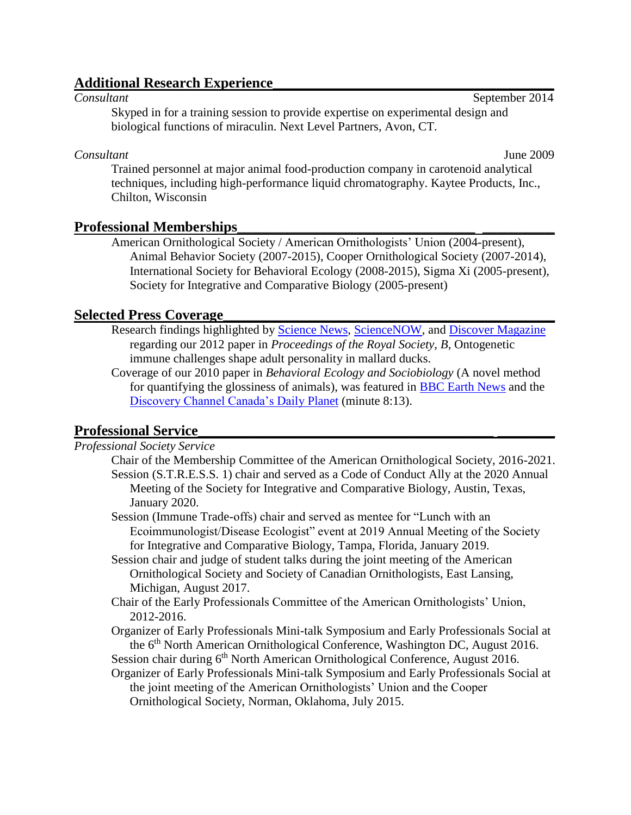# **Additional Research Experience**<br>*Consultant*

September 2014 Skyped in for a training session to provide expertise on experimental design and biological functions of miraculin. Next Level Partners, Avon, CT.

# *Consultant* June 2009

Trained personnel at major animal food-production company in carotenoid analytical techniques, including high-performance liquid chromatography. Kaytee Products, Inc., Chilton, Wisconsin

# **Professional Memberships\_\_\_\_\_\_\_\_\_\_\_\_\_\_\_\_\_\_\_\_\_\_\_\_\_\_\_\_\_\_\_\_\_ \_\_\_\_\_\_\_\_\_\_**

American Ornithological Society / American Ornithologists' Union (2004-present), Animal Behavior Society (2007-2015), Cooper Ornithological Society (2007-2014), International Society for Behavioral Ecology (2008-2015), Sigma Xi (2005-present), Society for Integrative and Comparative Biology (2005-present)

# **Selected Press Coverage\_\_\_\_\_\_\_\_\_\_\_\_\_\_\_\_\_\_\_\_\_\_\_\_\_\_\_\_\_\_\_\_\_\_\_\_\_\_\_\_\_\_\_\_\_\_**

- Research findings highlighted by [Science News,](http://www.sciencenews.org/view/generic/id/331330/title/News_in_Brief_Life_) [ScienceNOW,](http://news.sciencemag.org/sciencenow/2011/06/scienceshot-an-infectious-person.html) and [Discover Magazine](http://blogs.discovermagazine.com/80beats/2011/06/08/bodily-invasion-during-duckling-hood-makes-adult-ducks-more-adventurous/) regarding our 2012 paper in *Proceedings of the Royal Society, B*, Ontogenetic immune challenges shape adult personality in mallard ducks.
- Coverage of our 2010 paper in *Behavioral Ecology and Sociobiology* (A novel method for quantifying the glossiness of animals), was featured in [BBC Earth News](http://news.bbc.co.uk/earth/hi/earth_news/newsid_8577000/8577316.stm) and the [Discovery Channel Canada's Daily Planet](http://watch.discoverychannel.ca/daily-planet/march-2010/daily-planet---march-24-2010/#clip280858) (minute 8:13).

# **Professional Service\_\_\_\_\_\_\_\_\_\_\_\_\_\_\_\_\_\_\_\_\_\_\_\_\_\_\_\_\_\_\_\_\_\_\_\_\_\_\_\_\_ \_\_\_\_\_\_\_\_**

#### *Professional Society Service*

- Chair of the Membership Committee of the American Ornithological Society, 2016-2021. Session (S.T.R.E.S.S. 1) chair and served as a Code of Conduct Ally at the 2020 Annual Meeting of the Society for Integrative and Comparative Biology, Austin, Texas, January 2020.
- Session (Immune Trade-offs) chair and served as mentee for "Lunch with an Ecoimmunologist/Disease Ecologist" event at 2019 Annual Meeting of the Society for Integrative and Comparative Biology, Tampa, Florida, January 2019.
- Session chair and judge of student talks during the joint meeting of the American Ornithological Society and Society of Canadian Ornithologists, East Lansing, Michigan, August 2017.
- Chair of the Early Professionals Committee of the American Ornithologists' Union, 2012-2016.
- Organizer of Early Professionals Mini-talk Symposium and Early Professionals Social at the 6<sup>th</sup> North American Ornithological Conference, Washington DC, August 2016.
- Session chair during 6<sup>th</sup> North American Ornithological Conference, August 2016. Organizer of Early Professionals Mini-talk Symposium and Early Professionals Social at the joint meeting of the American Ornithologists' Union and the Cooper Ornithological Society, Norman, Oklahoma, July 2015.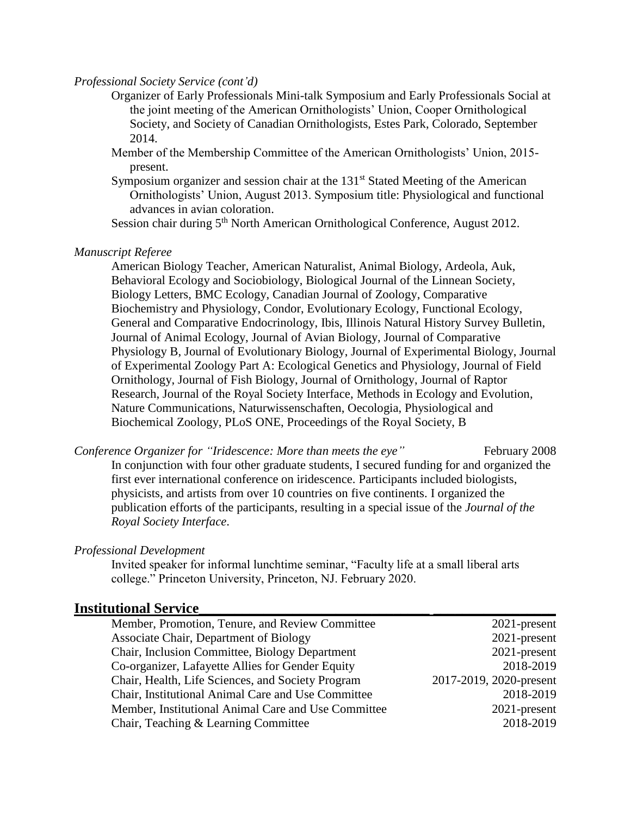# *Professional Society Service (cont'd)*

- Organizer of Early Professionals Mini-talk Symposium and Early Professionals Social at the joint meeting of the American Ornithologists' Union, Cooper Ornithological Society, and Society of Canadian Ornithologists, Estes Park, Colorado, September 2014.
- Member of the Membership Committee of the American Ornithologists' Union, 2015 present.
- Symposium organizer and session chair at the  $131<sup>st</sup>$  Stated Meeting of the American Ornithologists' Union, August 2013. Symposium title: Physiological and functional advances in avian coloration.

Session chair during 5<sup>th</sup> North American Ornithological Conference, August 2012.

#### *Manuscript Referee*

American Biology Teacher, American Naturalist, Animal Biology, Ardeola, Auk, Behavioral Ecology and Sociobiology, Biological Journal of the Linnean Society, Biology Letters, BMC Ecology, Canadian Journal of Zoology, Comparative Biochemistry and Physiology, Condor, Evolutionary Ecology, Functional Ecology, General and Comparative Endocrinology, Ibis, Illinois Natural History Survey Bulletin, Journal of Animal Ecology, Journal of Avian Biology, Journal of Comparative Physiology B, Journal of Evolutionary Biology, Journal of Experimental Biology, Journal of Experimental Zoology Part A: Ecological Genetics and Physiology, Journal of Field Ornithology, Journal of Fish Biology, Journal of Ornithology, Journal of Raptor Research, Journal of the Royal Society Interface, Methods in Ecology and Evolution, Nature Communications, Naturwissenschaften, Oecologia, Physiological and Biochemical Zoology, PLoS ONE, Proceedings of the Royal Society, B

*Conference Organizer for "Iridescence: More than meets the eye"* February 2008 In conjunction with four other graduate students, I secured funding for and organized the first ever international conference on iridescence. Participants included biologists, physicists, and artists from over 10 countries on five continents. I organized the publication efforts of the participants, resulting in a special issue of the *Journal of the Royal Society Interface*.

#### *Professional Development*

Invited speaker for informal lunchtime seminar, "Faculty life at a small liberal arts college." Princeton University, Princeton, NJ. February 2020.

#### **Institutional Service\_\_\_\_\_\_\_\_\_\_\_\_\_\_\_\_\_\_\_\_\_\_\_\_\_\_\_\_\_\_\_\_ \_\_\_\_\_\_\_\_\_\_\_\_\_\_\_\_\_**

| Member, Promotion, Tenure, and Review Committee     | 2021-present            |
|-----------------------------------------------------|-------------------------|
| Associate Chair, Department of Biology              | 2021-present            |
| Chair, Inclusion Committee, Biology Department      | 2021-present            |
| Co-organizer, Lafayette Allies for Gender Equity    | 2018-2019               |
| Chair, Health, Life Sciences, and Society Program   | 2017-2019, 2020-present |
| Chair, Institutional Animal Care and Use Committee  | 2018-2019               |
| Member, Institutional Animal Care and Use Committee | $2021$ -present         |
| Chair, Teaching & Learning Committee                | 2018-2019               |